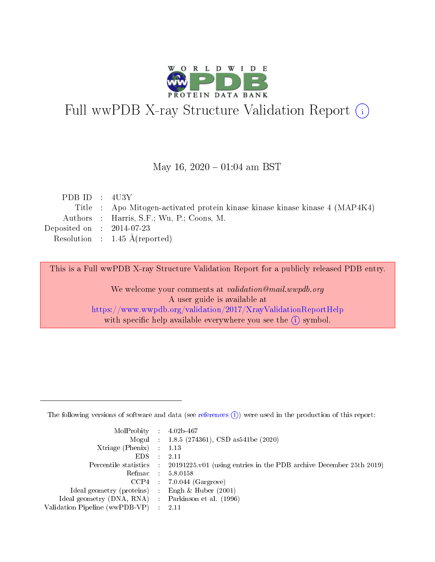

# Full wwPDB X-ray Structure Validation Report (i)

#### May 16,  $2020 - 01:04$  am BST

| PDB ID : $4U3Y$             |                                                                              |
|-----------------------------|------------------------------------------------------------------------------|
|                             | Title : Apo Mitogen-activated protein kinase kinase kinase kinase 4 (MAP4K4) |
|                             | Authors : Harris, S.F.; Wu, P.; Coons, M.                                    |
| Deposited on : $2014-07-23$ |                                                                              |
|                             | Resolution : $1.45 \text{ Å}$ (reported)                                     |

This is a Full wwPDB X-ray Structure Validation Report for a publicly released PDB entry.

We welcome your comments at validation@mail.wwpdb.org A user guide is available at <https://www.wwpdb.org/validation/2017/XrayValidationReportHelp> with specific help available everywhere you see the  $(i)$  symbol.

The following versions of software and data (see [references](https://www.wwpdb.org/validation/2017/XrayValidationReportHelp#references)  $(1)$ ) were used in the production of this report:

| MolProbity : $4.02b-467$                          |               |                                                                                            |
|---------------------------------------------------|---------------|--------------------------------------------------------------------------------------------|
|                                                   |               | Mogul : $1.8.5$ (274361), CSD as 541be (2020)                                              |
| Xtriage (Phenix) $: 1.13$                         |               |                                                                                            |
| EDS –                                             | $\mathcal{A}$ | -2.11                                                                                      |
|                                                   |               | Percentile statistics : 20191225.v01 (using entries in the PDB archive December 25th 2019) |
| Refmac : 5.8.0158                                 |               |                                                                                            |
|                                                   |               | $CCP4$ : 7.0.044 (Gargrove)                                                                |
| Ideal geometry (proteins) :                       |               | Engh $\&$ Huber (2001)                                                                     |
| Ideal geometry (DNA, RNA) Parkinson et al. (1996) |               |                                                                                            |
| Validation Pipeline (wwPDB-VP) : 2.11             |               |                                                                                            |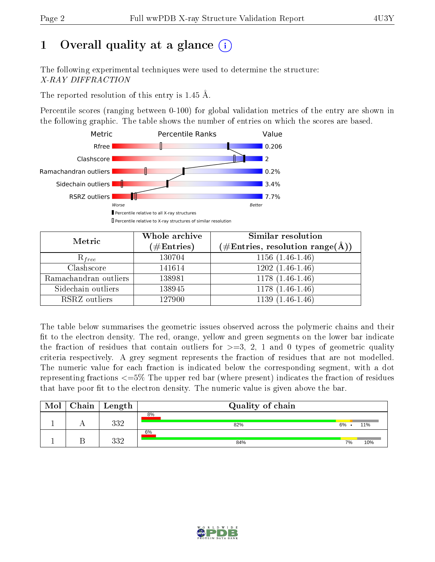## 1 [O](https://www.wwpdb.org/validation/2017/XrayValidationReportHelp#overall_quality)verall quality at a glance  $(i)$

The following experimental techniques were used to determine the structure: X-RAY DIFFRACTION

The reported resolution of this entry is 1.45 Å.

Percentile scores (ranging between 0-100) for global validation metrics of the entry are shown in the following graphic. The table shows the number of entries on which the scores are based.



| Metric                | Whole archive        | Similar resolution                                                     |
|-----------------------|----------------------|------------------------------------------------------------------------|
|                       | $(\#\text{Entries})$ | $(\#\text{Entries},\, \text{resolution}\; \text{range}(\textup{\AA}))$ |
| $R_{free}$            | 130704               | $1156(1.46-1.46)$                                                      |
| Clashscore            | 141614               | $1202(1.46-1.46)$                                                      |
| Ramachandran outliers | 138981               | $1178(1.46-1.46)$                                                      |
| Sidechain outliers    | 138945               | $1178(1.46-1.46)$                                                      |
| RSRZ outliers         | 127900               | $1139(1.46-1.46)$                                                      |

The table below summarises the geometric issues observed across the polymeric chains and their fit to the electron density. The red, orange, yellow and green segments on the lower bar indicate the fraction of residues that contain outliers for  $>=3, 2, 1$  and 0 types of geometric quality criteria respectively. A grey segment represents the fraction of residues that are not modelled. The numeric value for each fraction is indicated below the corresponding segment, with a dot representing fractions <=5% The upper red bar (where present) indicates the fraction of residues that have poor fit to the electron density. The numeric value is given above the bar.

| Mol | Chain | Length | Quality of chain |    |     |
|-----|-------|--------|------------------|----|-----|
|     |       |        | 8%               |    |     |
|     |       | າາດ    | 82%              | 6% | 11% |
|     |       |        | 6%               |    |     |
|     |       | າາດ    | 84%              | 7% | 10% |

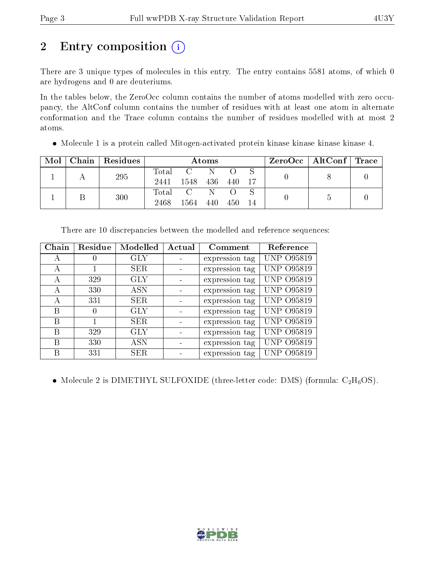## 2 Entry composition  $\left( \cdot \right)$

There are 3 unique types of molecules in this entry. The entry contains 5581 atoms, of which 0 are hydrogens and 0 are deuteriums.

In the tables below, the ZeroOcc column contains the number of atoms modelled with zero occupancy, the AltConf column contains the number of residues with at least one atom in alternate conformation and the Trace column contains the number of residues modelled with at most 2 atoms.

Molecule 1 is a protein called Mitogen-activated protein kinase kinase kinase kinase 4.

| Mol | Chain   Residues | Atoms       |               |     |     | $ZeroOcc \mid AltConf \mid Trace$ |  |  |
|-----|------------------|-------------|---------------|-----|-----|-----------------------------------|--|--|
|     | 295              | $\rm Total$ |               |     |     |                                   |  |  |
|     |                  | 2441        | 1548          | 436 | 440 |                                   |  |  |
|     | 300              | $\rm Total$ | $\mathcal{C}$ |     |     |                                   |  |  |
|     |                  | 2468        | 1564          | 440 | 450 |                                   |  |  |

| Chain | Residue  | Modelled   | Actual | Comment        | Reference         |
|-------|----------|------------|--------|----------------|-------------------|
| А     |          | GLY        |        | expression tag | UNP 095819        |
| A     |          | <b>SER</b> |        | expression tag | <b>UNP 095819</b> |
| А     | 329      | GLY        |        | expression tag | UNP 095819        |
| А     | 330      | ASN        |        | expression tag | UNP 095819        |
| А     | 331      | SER.       |        | expression tag | <b>UNP 095819</b> |
| В     | $\theta$ | GLY        |        | expression tag | <b>UNP 095819</b> |
| B     |          | <b>SER</b> |        | expression tag | <b>UNP 095819</b> |
| В     | 329      | GLY        |        | expression tag | <b>UNP 095819</b> |
| B     | 330      | ASN        |        | expression tag | <b>UNP 095819</b> |
| R     | 331      | <b>SER</b> |        | expression tag | UNP 095819        |

There are 10 discrepancies between the modelled and reference sequences:

• Molecule 2 is DIMETHYL SULFOXIDE (three-letter code: DMS) (formula:  $C_2H_6OS$ ).

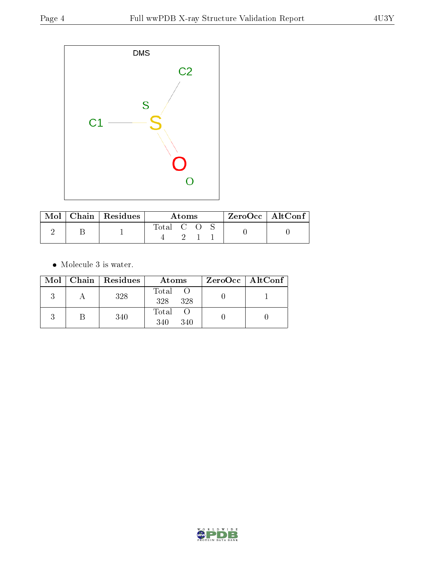

| Mol | Chain   Residues | Atoms     |  |  | $^\mathrm{+}$ ZeroOcc $\mathrm{~\vert}$ Alt $\overline{\text{Conf}}$ , |  |
|-----|------------------|-----------|--|--|------------------------------------------------------------------------|--|
|     |                  | Total C O |  |  |                                                                        |  |

• Molecule 3 is water.

|  | Mol   Chain   Residues | Atoms               | $ZeroOcc \   \ AltConf \  $ |
|--|------------------------|---------------------|-----------------------------|
|  | 328                    | Total<br>328 328    |                             |
|  | 340                    | Total<br>340<br>340 |                             |

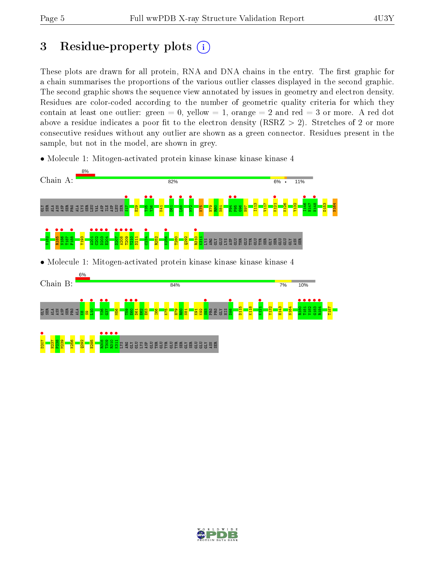## 3 Residue-property plots  $(i)$

These plots are drawn for all protein, RNA and DNA chains in the entry. The first graphic for a chain summarises the proportions of the various outlier classes displayed in the second graphic. The second graphic shows the sequence view annotated by issues in geometry and electron density. Residues are color-coded according to the number of geometric quality criteria for which they contain at least one outlier: green  $= 0$ , yellow  $= 1$ , orange  $= 2$  and red  $= 3$  or more. A red dot above a residue indicates a poor fit to the electron density (RSRZ  $> 2$ ). Stretches of 2 or more consecutive residues without any outlier are shown as a green connector. Residues present in the sample, but not in the model, are shown in grey.

• Molecule 1: Mitogen-activated protein kinase kinase kinase kinase 4



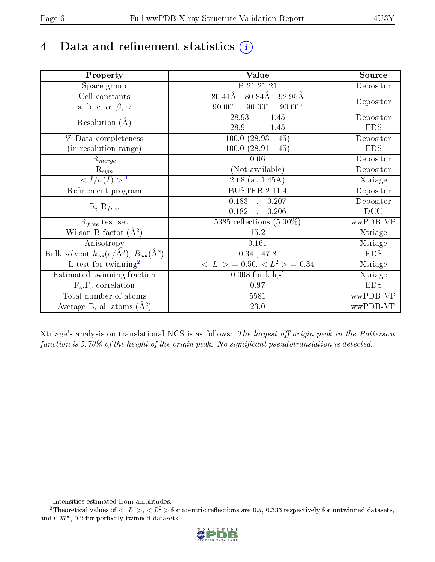## 4 Data and refinement statistics  $(i)$

| Property                                                             | Value                                                    | Source     |
|----------------------------------------------------------------------|----------------------------------------------------------|------------|
| $\overline{\text{Space}}$ group                                      | P 21 21 21                                               | Depositor  |
| Cell constants                                                       | $80.84\AA$<br>92.95Å<br>80.41Å                           |            |
| a, b, c, $\alpha$ , $\beta$ , $\gamma$                               | $90.00^\circ$<br>$90.00^\circ$<br>$90.00^\circ$          | Depositor  |
| Resolution $(A)$                                                     | $-1.45$<br>28.93                                         | Depositor  |
|                                                                      | 28.91<br>$-1.45$                                         | <b>EDS</b> |
| % Data completeness                                                  | $100.0 (28.93 - 1.45)$                                   | Depositor  |
| (in resolution range)                                                | $100.0 (28.91 - 1.45)$                                   | <b>EDS</b> |
| $R_{merge}$                                                          | 0.06                                                     | Depositor  |
| $\mathrm{R}_{sym}$                                                   | (Not available)                                          | Depositor  |
| $\langle I/\sigma(I) \rangle$ <sup>1</sup>                           | 2.68 (at $1.45\text{\AA}$ )                              | Xtriage    |
| Refinement program                                                   | <b>BUSTER 2.11.4</b>                                     | Depositor  |
|                                                                      | $\overline{0.183}$ ,<br>0.207                            | Depositor  |
| $R, R_{free}$                                                        | 0.182<br>$0.206\,$<br>$\ddot{\phantom{a}}$               | DCC        |
| $R_{free}$ test set                                                  | $5385$ reflections $(5.00\%)$                            | wwPDB-VP   |
| Wilson B-factor $(A^2)$                                              | 15.2                                                     | Xtriage    |
| Anisotropy                                                           | 0.161                                                    | Xtriage    |
| Bulk solvent $k_{sol}(e/\mathring{A}^3)$ , $B_{sol}(\mathring{A}^2)$ | $0.34$ , 47.8                                            | <b>EDS</b> |
| L-test for twinning <sup>2</sup>                                     | $\langle  L  \rangle = 0.50, \langle L^2 \rangle = 0.34$ | Xtriage    |
| Estimated twinning fraction                                          | $0.008$ for k,h,-l                                       | Xtriage    |
| $F_o, F_c$ correlation                                               | 0.97                                                     | <b>EDS</b> |
| Total number of atoms                                                | 5581                                                     | wwPDB-VP   |
| Average B, all atoms $(A^2)$                                         | 23.0                                                     | wwPDB-VP   |

Xtriage's analysis on translational NCS is as follows: The largest off-origin peak in the Patterson function is  $5.70\%$  of the height of the origin peak. No significant pseudotranslation is detected.

<sup>&</sup>lt;sup>2</sup>Theoretical values of  $\langle |L| \rangle$ ,  $\langle L^2 \rangle$  for acentric reflections are 0.5, 0.333 respectively for untwinned datasets, and 0.375, 0.2 for perfectly twinned datasets.



<span id="page-5-1"></span><span id="page-5-0"></span><sup>1</sup> Intensities estimated from amplitudes.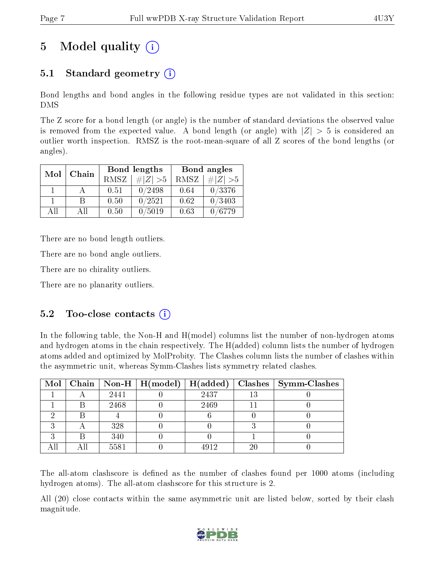## 5 Model quality  $(i)$

## 5.1 Standard geometry  $(i)$

Bond lengths and bond angles in the following residue types are not validated in this section: DMS

The Z score for a bond length (or angle) is the number of standard deviations the observed value is removed from the expected value. A bond length (or angle) with  $|Z| > 5$  is considered an outlier worth inspection. RMSZ is the root-mean-square of all Z scores of the bond lengths (or angles).

| Mol          |    |      | <b>Bond lengths</b> | Bond angles |             |  |
|--------------|----|------|---------------------|-------------|-------------|--|
| Chain        |    | RMSZ | $\# Z  > 5$         | RMSZ        | $\ Z\  > 5$ |  |
| $\mathbf{1}$ |    | 0.51 | 0/2498              | 0.64        | 0/3376      |  |
|              | R  | 0.50 | 0/2521              | 0.62        | 0/3403      |  |
| AΠ           | АH | 0.50 | $\sqrt{5019}$       | 0.63        | /6779       |  |

There are no bond length outliers.

There are no bond angle outliers.

There are no chirality outliers.

There are no planarity outliers.

#### $5.2$  Too-close contacts  $(i)$

In the following table, the Non-H and H(model) columns list the number of non-hydrogen atoms and hydrogen atoms in the chain respectively. The H(added) column lists the number of hydrogen atoms added and optimized by MolProbity. The Clashes column lists the number of clashes within the asymmetric unit, whereas Symm-Clashes lists symmetry related clashes.

|    |      |      |    | Mol   Chain   Non-H   H(model)   H(added)   Clashes   Symm-Clashes |
|----|------|------|----|--------------------------------------------------------------------|
|    | 2441 | 2437 | 13 |                                                                    |
|    | 2468 | 2469 |    |                                                                    |
| 61 |      |      |    |                                                                    |
| ົ  | 328  |      |    |                                                                    |
| ົ  | 340  |      |    |                                                                    |
|    | 5581 | 4912 | 20 |                                                                    |

The all-atom clashscore is defined as the number of clashes found per 1000 atoms (including hydrogen atoms). The all-atom clashscore for this structure is 2.

All (20) close contacts within the same asymmetric unit are listed below, sorted by their clash magnitude.

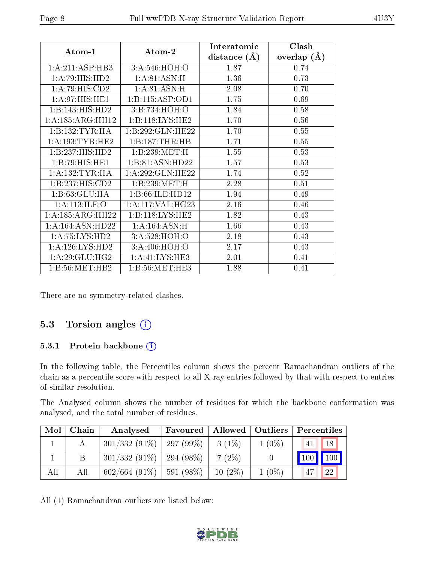| Atom-1                              | Atom-2             | Interatomic      | Clash         |
|-------------------------------------|--------------------|------------------|---------------|
|                                     |                    | distance $(\AA)$ | overlap $(A)$ |
| 1: A:211: ASP:HB3                   | 3:A:546:HOH:O      | 1.87             | 0.74          |
| 1:A:79:HIS:HD2                      | 1: A:81: ASN:H     | 1.36             | 0.73          |
| $1:A:79:HIS:\overline{CD2}$         | 1:A:81:ASN:H       | 2.08             | 0.70          |
| 1:A:97:HIS:HE1                      | 1:B:115:ASP:OD1    | 1.75             | 0.69          |
| 1:B:143:HIS:HD2                     | 3:B:734:HOH:O      | 1.84             | 0.58          |
| 1:A:185:ARG:HH12                    | 1:B:118:LYS:HE2    | 1.70             | 0.56          |
| 1:B:132:TYR:HA                      | 1:B:292:GLN:HE22   | 1.70             | 0.55          |
| 1: A: 193: TYR: HE2                 | 1:B:187:THR:HB     | 1.71             | 0.55          |
| 1:B:237:HIS:HD2                     | 1:B:239:MET:H      | 1.55             | 0.53          |
| 1:B:79:HIS:HE1                      | 1:B:81:ASN:HD22    | 1.57             | 0.53          |
| 1: A: 132: TYR: HA                  | 1:A:292:GLN:HE22   | 1.74             | 0.52          |
| 1:B:237:HIS:CD2                     | 1:B:239:MET:H      | 2.28             | 0.51          |
| $1:B:63:GLU:\overline{HA}$          | 1:B:66:ILE:HD12    | 1.94             | 0.49          |
| 1: A:113: ILE: O                    | 1: A:117: VAL:HG23 | 2.16             | 0.46          |
| 1:A:185:ARG:HH22                    | 1:B:118:LYS:HE2    | 1.82             | 0.43          |
| 1:A:164:ASN:HD22                    | 1:A:164:ASN:H      | 1.66             | 0.43          |
| 1: A: 75: LYS: HD2                  | 3:A:528:HOH:O      | 2.18             | 0.43          |
| $1:A:126:\overline{\text{LYS:HD2}}$ | 3:A:406:HOH:O      | 2.17             | 0.43          |
| 1: A:29: GLU: HG2                   | 1:A:41:LYS:HE3     | 2.01             | 0.41          |
| 1: B:56: MET:HB2                    | 1: B:56:MET:HE3    | 1.88             | 0.41          |

There are no symmetry-related clashes.

### 5.3 Torsion angles (i)

#### 5.3.1 Protein backbone (i)

In the following table, the Percentiles column shows the percent Ramachandran outliers of the chain as a percentile score with respect to all X-ray entries followed by that with respect to entries of similar resolution.

The Analysed column shows the number of residues for which the backbone conformation was analysed, and the total number of residues.

| Mol | Chain | Analysed        | Favoured     | Allowed   | Outliers | Percentiles |                    |
|-----|-------|-----------------|--------------|-----------|----------|-------------|--------------------|
|     |       | $301/332(91\%)$ | $297(99\%)$  | $3(1\%)$  | $1(0\%)$ | 41          | 18                 |
|     |       | $301/332(91\%)$ | 294 $(98\%)$ | 7(2%)     |          | 100         | $\blacksquare$ 100 |
| All | All   | $602/664(91\%)$ | 591 (98%)    | $10(2\%)$ | $1(0\%)$ |             | 22                 |

All (1) Ramachandran outliers are listed below:

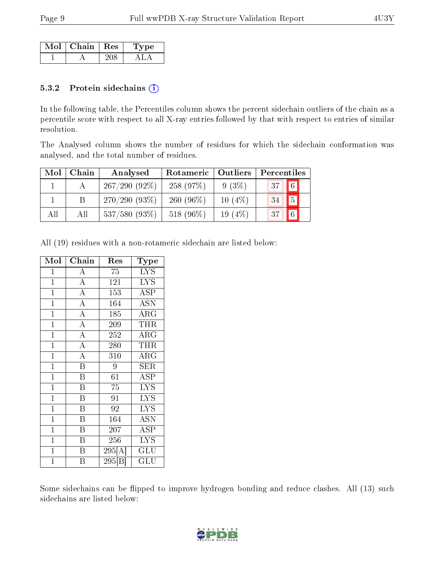| $Mol$   Chain   Res | ne |
|---------------------|----|
|                     |    |

#### 5.3.2 Protein sidechains (i)

In the following table, the Percentiles column shows the percent sidechain outliers of the chain as a percentile score with respect to all X-ray entries followed by that with respect to entries of similar resolution.

The Analysed column shows the number of residues for which the sidechain conformation was analysed, and the total number of residues.

| Mol | Chain | Analysed        | Rotameric   Outliers |           | Percentiles |                |
|-----|-------|-----------------|----------------------|-----------|-------------|----------------|
|     |       | $267/290(92\%)$ | 258(97%)             | $9(3\%)$  | 37          | $\boxed{6}$    |
|     |       | $270/290(93\%)$ | 260 $(96\%)$         | 10 $(4%)$ | 34          | $5^{\circ}$    |
| All | All   | $537/580(93\%)$ | 518 (96%)            | 19 $(4%)$ | 37          | $\overline{6}$ |

All (19) residues with a non-rotameric sidechain are listed below:

| Mol            | Chain                   | Res    | $_{\rm Type}$        |
|----------------|-------------------------|--------|----------------------|
| 1              | A                       | 75     | <b>LYS</b>           |
| $\mathbf{1}$   | $\overline{A}$          | 121    | <b>LYS</b>           |
| $\mathbf{1}$   | $\overline{\rm A}$      | 153    | ASP                  |
| $\mathbf{1}$   | $\overline{\rm A}$      | 164    | <b>ASN</b>           |
| $\mathbf{1}$   | $\overline{A}$          | 185    | $\rm{ARG}$           |
| $\mathbf{1}$   | $\overline{\rm A}$      | 209    | THR                  |
| $\mathbf{1}$   | $\overline{A}$          | 252    | $\rm{ARG}$           |
| $\mathbf{1}$   | $\overline{\rm A}$      | 280    | THR                  |
| $\mathbf{1}$   | $\overline{\rm A}$      | 310    | $\rm{ARG}$           |
| $\mathbf{1}$   | $\overline{\mathrm{B}}$ | 9      | SER                  |
| $\mathbf{1}$   | B                       | 61     | ASP                  |
| $\mathbf{1}$   | B                       | 75     | <b>LYS</b>           |
| $\mathbf{1}$   | B                       | 91     | <b>LYS</b>           |
| $\mathbf{1}$   | $\overline{\mathrm{B}}$ | 92     | <b>LYS</b>           |
| $\mathbf{1}$   | $\overline{\mathrm{B}}$ | 164    | <b>ASN</b>           |
| $\mathbf{1}$   | B                       | 207    | <b>ASP</b>           |
| $\mathbf{1}$   | B                       | 256    | <b>LYS</b>           |
| $\mathbf{1}$   | B                       | 295[A] | GLU                  |
| $\overline{1}$ | Β                       | 295[B] | $\operatorname{GLU}$ |

Some sidechains can be flipped to improve hydrogen bonding and reduce clashes. All (13) such sidechains are listed below:

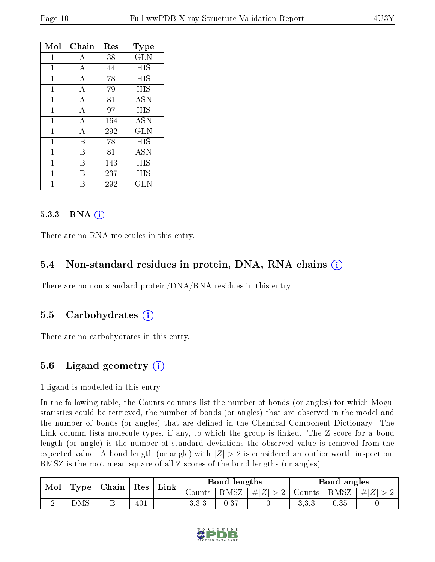| Mol | Chain          | Res | $_{\rm Type}$ |
|-----|----------------|-----|---------------|
| 1   | А              | 38  | GLN           |
| 1   | А              | 44  | HIS           |
| 1   | А              | 78  | <b>HIS</b>    |
| 1   | А              | 79  | HIS           |
| 1   | $\overline{A}$ | 81  | <b>ASN</b>    |
| 1   | А              | 97  | <b>HIS</b>    |
| 1   | А              | 164 | <b>ASN</b>    |
| 1   | $\mathbf{A}$   | 292 | GLN           |
| 1   | В              | 78  | <b>HIS</b>    |
| 1   | В              | 81  | ASN           |
| 1   | R              | 143 | HIS           |
| 1   | R              | 237 | HIS           |
|     |                | 292 | GLN           |

#### 5.3.3 RNA  $(i)$

There are no RNA molecules in this entry.

### 5.4 Non-standard residues in protein, DNA, RNA chains (i)

There are no non-standard protein/DNA/RNA residues in this entry.

#### 5.5 Carbohydrates  $(i)$

There are no carbohydrates in this entry.

### 5.6 Ligand geometry (i)

1 ligand is modelled in this entry.

In the following table, the Counts columns list the number of bonds (or angles) for which Mogul statistics could be retrieved, the number of bonds (or angles) that are observed in the model and the number of bonds (or angles) that are defined in the Chemical Component Dictionary. The Link column lists molecule types, if any, to which the group is linked. The Z score for a bond length (or angle) is the number of standard deviations the observed value is removed from the expected value. A bond length (or angle) with  $|Z| > 2$  is considered an outlier worth inspection. RMSZ is the root-mean-square of all Z scores of the bond lengths (or angles).

| Mol | Type | Chain | Res | Link   |        | Bond lengths |         |                  | Bond angles |           |
|-----|------|-------|-----|--------|--------|--------------|---------|------------------|-------------|-----------|
|     |      |       |     |        | Counts | RMSZ         | $\# Z $ | Counts           | RMSZ        | $\pm  Z $ |
|     | DMS  |       | 401 | $\sim$ | U.U.U  | 0.37         |         | י ה ה<br>0, 0, 0 | $0.35\,$    |           |

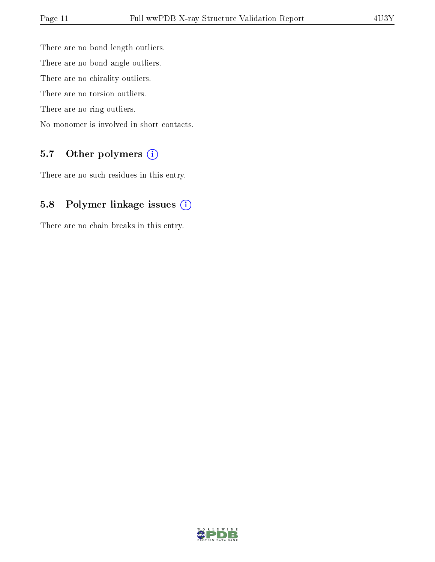There are no bond length outliers. There are no bond angle outliers. There are no chirality outliers. There are no torsion outliers. There are no ring outliers. No monomer is involved in short contacts.

### 5.7 [O](https://www.wwpdb.org/validation/2017/XrayValidationReportHelp#nonstandard_residues_and_ligands)ther polymers (i)

There are no such residues in this entry.

### 5.8 Polymer linkage issues (i)

There are no chain breaks in this entry.

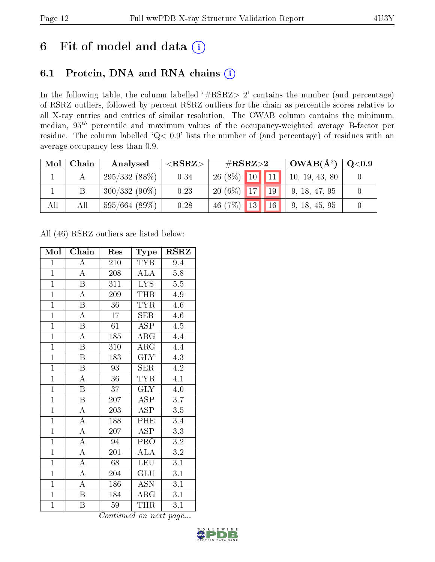## 6 Fit of model and data  $(i)$

## 6.1 Protein, DNA and RNA chains  $(i)$

In the following table, the column labelled  $#RSRZ> 2'$  contains the number (and percentage) of RSRZ outliers, followed by percent RSRZ outliers for the chain as percentile scores relative to all X-ray entries and entries of similar resolution. The OWAB column contains the minimum, median,  $95<sup>th</sup>$  percentile and maximum values of the occupancy-weighted average B-factor per residue. The column labelled ' $Q< 0.9$ ' lists the number of (and percentage) of residues with an average occupancy less than 0.9.

| Mol | Chain | Analysed         | ${ <\hspace{-1.5pt}{\mathrm{RSRZ}} \hspace{-1.5pt}>}$ | # $RSRZ>2$                  | $OWAB(A^2)$    | Q <sub>0.9</sub> |
|-----|-------|------------------|-------------------------------------------------------|-----------------------------|----------------|------------------|
|     |       | 295/332(88%)     | 0.34                                                  | $26(8\%)$ 10 11             | 10, 19, 43, 80 |                  |
|     |       | $300/332(90\%)$  | 0.23                                                  | 20 (6\%) $\boxed{17}$<br>19 | 9, 18, 47, 95  |                  |
| All | All   | $595/664$ (89\%) | 0.28                                                  | $46(7\%)$ 13 16             | 9, 18, 45, 95  |                  |

All (46) RSRZ outliers are listed below:

| Mol            | Chain                   | Res              | Type                      | <b>RSRZ</b>      |
|----------------|-------------------------|------------------|---------------------------|------------------|
| $\mathbf{1}$   | A                       | 210              | <b>TYR</b>                | 9.4              |
| $\overline{1}$ | $\overline{\rm A}$      | 208              | <b>ALA</b>                | 5.8              |
| $\overline{1}$ | $\mathbf B$             | 311              | $\overline{\text{LYS}}$   | $\overline{5}.5$ |
| $\overline{1}$ | $\boldsymbol{A}$        | 209              | <b>THR</b>                | 4.9              |
| $\overline{1}$ | $\overline{\mathrm{B}}$ | $\overline{36}$  | <b>TYR</b>                | 4.6              |
| $\overline{1}$ | A                       | 17               | SER                       | 4.6              |
| $\overline{1}$ | $\overline{\mathrm{B}}$ | 61               | ASP                       | 4.5              |
| $\overline{1}$ | $\overline{\rm A}$      | 185              | $\rm{ARG}$                | 4.4              |
| $\overline{1}$ | $\overline{\mathrm{B}}$ | 310              | $\rm{ARG}$                | 4.4              |
| $\overline{1}$ | B                       | 183              | $\overline{\text{GLY}}$   | 4.3              |
| $\overline{1}$ | $\overline{\mathrm{B}}$ | 93               | SER                       | 4.2              |
| $\overline{1}$ | $\overline{\rm A}$      | $\overline{36}$  | <b>TYR</b>                | $\overline{4.1}$ |
| $\overline{1}$ | $\overline{\mathrm{B}}$ | 37               | GLY                       | 4.0              |
| $\overline{1}$ | $\boldsymbol{B}$        | 207              | <b>ASP</b>                | 3.7              |
| $\overline{1}$ | $\overline{\rm A}$      | 203              | $\overline{\text{ASP}}$   | 3.5              |
| $\overline{1}$ | $\overline{\rm A}$      | <sup>188</sup>   | PHE                       | 3.4              |
| $\overline{1}$ | $\overline{A}$          | $\overline{207}$ | $\overline{\text{ASP}}$   | $\overline{3.3}$ |
| $\overline{1}$ | $\overline{\rm A}$      | 94               | PRO                       | $3.2\,$          |
| $\overline{1}$ | $\overline{\rm A}$      | 201              | $\overline{ALA}$          | $\overline{3}.2$ |
| $\overline{1}$ | $\overline{A}$          | 68               | <b>LEU</b>                | 3.1              |
| $\overline{1}$ | $\overline{\rm A}$      | 204              | <b>GLU</b>                | 3.1              |
| $\overline{1}$ | $\overline{\rm A}$      | 186              | $\overline{\mathrm{ASN}}$ | $\overline{3.1}$ |
| $\overline{1}$ | $\overline{\mathrm{B}}$ | 184              | $\rm{ARG}$                | 3.1              |
| $\overline{1}$ | Β                       | 59               | <b>THR</b>                | $3.\overline{1}$ |

Continued on next page...

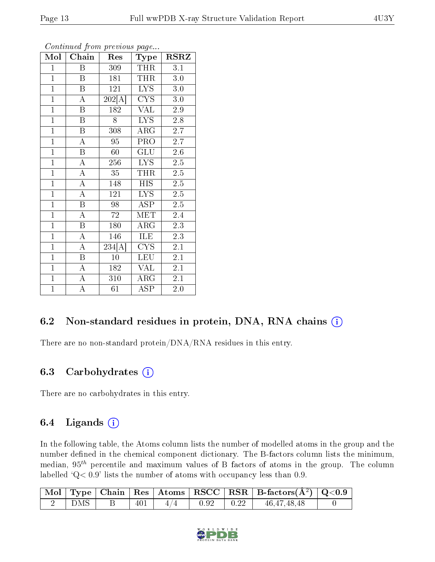| Mol            | Chain                   | Res             | Type                    | <b>RSRZ</b>      |
|----------------|-------------------------|-----------------|-------------------------|------------------|
| $\mathbf{1}$   | B                       | 309             | <b>THR</b>              | 3.1              |
| $\overline{1}$ | $\overline{\mathrm{B}}$ | 181             | <b>THR</b>              | 3.0              |
| $\overline{1}$ | B                       | 121             | <b>LYS</b>              | $3.0\,$          |
| $\overline{1}$ | A                       | 202[A]          | <b>CYS</b>              | 3.0              |
| $\overline{1}$ | $\overline{\mathrm{B}}$ | 182             | $\overline{\text{VAL}}$ | 2.9              |
| $\mathbf{1}$   | $\overline{\mathrm{B}}$ | 8               | <b>LYS</b>              | 2.8              |
| $\overline{1}$ | $\overline{\mathrm{B}}$ | 308             | $\rm{ARG}$              | 2.7              |
| $\overline{1}$ | $\overline{\rm A}$      | $\overline{95}$ | PRO                     | 2.7              |
| $\overline{1}$ | $\overline{\mathrm{B}}$ | $60\,$          | GLU                     | 2.6              |
| $\overline{1}$ | $\overline{\rm A}$      | 256             | $\overline{\text{LYS}}$ | 2.5              |
| $\overline{1}$ | $\overline{A}$          | 35              | THR                     | $2.5\,$          |
| $\overline{1}$ | $\overline{\rm A}$      | 148             | <b>HIS</b>              | $2.\overline{5}$ |
| $\overline{1}$ | $\overline{\rm A}$      | 121             | <b>LYS</b>              | 2.5              |
| $\overline{1}$ | $\overline{\mathrm{B}}$ | 98              | <b>ASP</b>              | $2.5\,$          |
| $\overline{1}$ | $\overline{\rm A}$      | 72              | MET                     | 2.4              |
| $\mathbf{1}$   | $\overline{\mathrm{B}}$ | 180             | ARG                     | 2.3              |
| $\overline{1}$ | $\overline{\rm A}$      | 146             | ILE                     | 2.3              |
| $\overline{1}$ | $\overline{\rm A}$      | 234[A]          | <b>CYS</b>              | 2.1              |
| $\overline{1}$ | $\overline{\mathrm{B}}$ | 10              | <b>LEU</b>              | 2.1              |
| $\overline{1}$ | $\overline{\rm A}$      | 182             | VAL                     | 2.1              |
| $\overline{1}$ | $\overline{\rm A}$      | 310             | $\rm{ARG}$              | 2.1              |
| $\mathbf{1}$   | A                       | 61              | $\overline{\text{ASP}}$ | 2.0              |

Continued from previous page...

### 6.2 Non-standard residues in protein, DNA, RNA chains (i)

There are no non-standard protein/DNA/RNA residues in this entry.

#### 6.3 Carbohydrates  $(i)$

There are no carbohydrates in this entry.

#### 6.4 Ligands  $(i)$

In the following table, the Atoms column lists the number of modelled atoms in the group and the number defined in the chemical component dictionary. The B-factors column lists the minimum, median, 95th percentile and maximum values of B factors of atoms in the group. The column labelled  $Q < 0.9$ ' lists the number of atoms with occupancy less than 0.9.

|     |     |     |                   | $\lceil$ Mol $\lceil$ Type $\lceil$ Chain $\lceil$ Res $\lceil$ Atoms $\lceil$ RSCC $\lceil$ RSR $\lceil$ B-factors(A <sup>2</sup> ) $\lceil$ Q<0.9 |  |
|-----|-----|-----|-------------------|-----------------------------------------------------------------------------------------------------------------------------------------------------|--|
| DMS | 401 | 4/4 | $0.92 \quad 0.22$ | 46,47,48,48                                                                                                                                         |  |